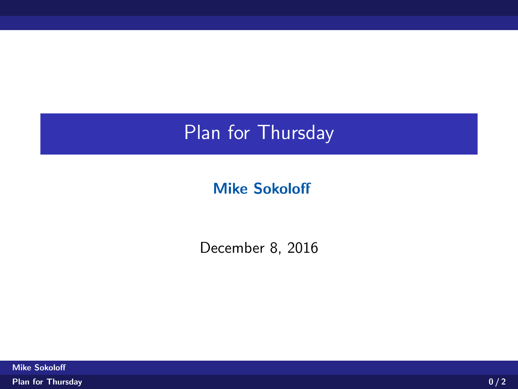## Plan for Thursday

## Mike Sokoloff

<span id="page-0-0"></span>December 8, 2016

Mike Sokoloff [Plan for Thursday](#page-2-0) **0.000 and 2.000 and 2.000 and 2.000 and 2.000 and 2.000 and 2.000 and 2.000 and 2.000 and 2.0**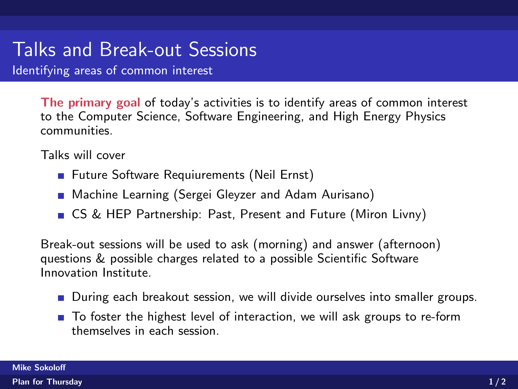## Talks and Break-out Sessions

Identifying areas of common interest

The primary goal of today's activities is to identify areas of common interest to the Computer Science, Software Engineering, and High Energy Physics communities.

Talks will cover

- Future Software Requiurements (Neil Ernst)
- **Machine Learning (Sergei Gleyzer and Adam Aurisano)**
- CS & HEP Partnership: Past, Present and Future (Miron Livny)

Break-out sessions will be used to ask (morning) and answer (afternoon) questions & possible charges related to a possible Scientific Software Innovation Institute.

- During each breakout session, we will divide ourselves into smaller groups.
- To foster the highest level of interaction, we will ask groups to re-form themselves in each session.